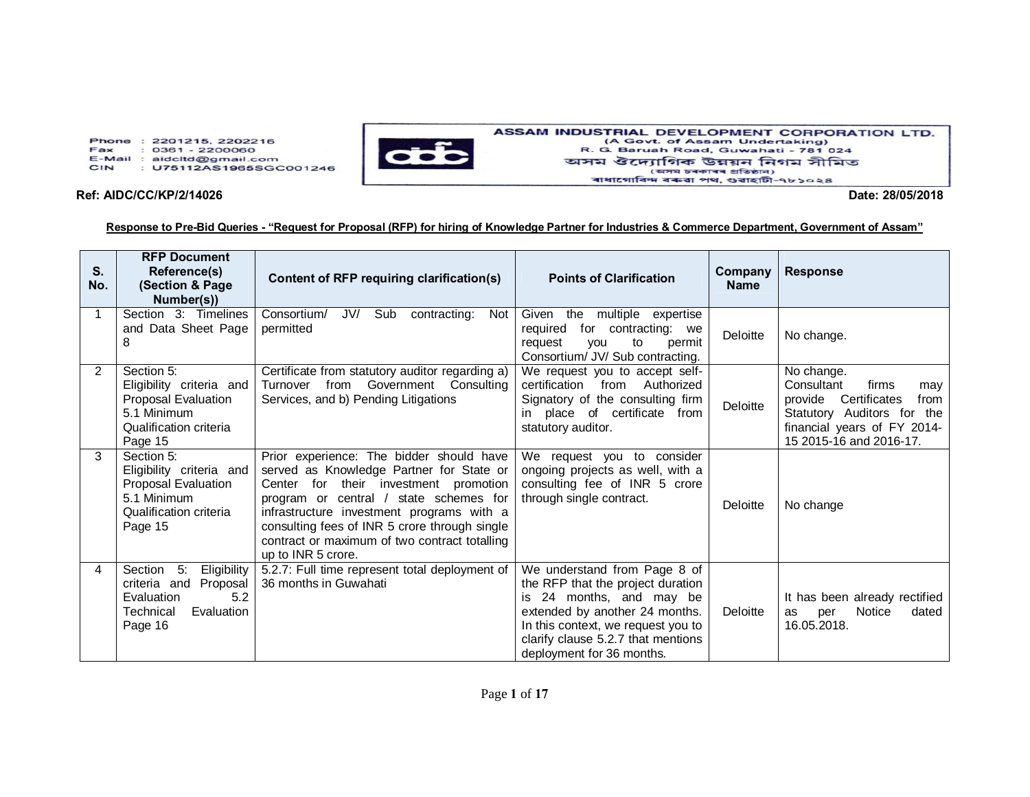Phone: 2201215, 2202216 Fax  $: 0361 - 2200060$ E-Mail : aidcltd@gmail.com CIN : U75112AS1965SGC001246



## ASSAM INDUSTRIAL DEVELOPMENT CORPORATION LTD. (A Govt. of Assam Undertaking)<br>R. G. Baruah Road, Guwahati - 781 024 অসম ঔদ্যোগিক উন্নয়ন নিগম সীমিত (অসম চৰকাৰৰ প্ৰতিষ্ঠান) ৰাধাগোবিন্দ বৰুৱা পথ, গুৱাহাটী-৭৮১০২৪

## **Ref: AIDC/CC/KP/2/14026 Date: 28/05/2018**

## **Response to Pre-Bid Queries - "Request for Proposal (RFP) for hiring of Knowledge Partner for Industries & Commerce Department, Government of Assam"**

| S.<br>No. | <b>RFP Document</b><br>Reference(s)<br>(Section & Page<br>Number(s))                                                    | Content of RFP requiring clarification(s)                                                                                                                                                                                                                                                                                                    | <b>Points of Clarification</b>                                                                                                                                                                                                           | Company<br><b>Name</b> | <b>Response</b>                                                                                                                                                  |
|-----------|-------------------------------------------------------------------------------------------------------------------------|----------------------------------------------------------------------------------------------------------------------------------------------------------------------------------------------------------------------------------------------------------------------------------------------------------------------------------------------|------------------------------------------------------------------------------------------------------------------------------------------------------------------------------------------------------------------------------------------|------------------------|------------------------------------------------------------------------------------------------------------------------------------------------------------------|
|           | Section 3: Timelines<br>and Data Sheet Page<br>8                                                                        | Consortium/<br>JV/<br>Sub<br>contracting:<br>Not<br>permitted                                                                                                                                                                                                                                                                                | Given the multiple expertise<br>for contracting: we<br>required<br>request<br>to<br>permit<br><b>VOU</b><br>Consortium/ JV/ Sub contracting.                                                                                             | Deloitte               | No change.                                                                                                                                                       |
| 2         | Section 5:<br>Eligibility criteria and<br>Proposal Evaluation<br>5.1 Minimum<br>Qualification criteria<br>Page 15       | Certificate from statutory auditor regarding a)<br>Turnover from Government Consulting<br>Services, and b) Pending Litigations                                                                                                                                                                                                               | We request you to accept self-<br>certification from Authorized<br>Signatory of the consulting firm<br>in place of certificate from<br>statutory auditor.                                                                                | Deloitte               | No change.<br>Consultant<br>firms<br>may<br>provide Certificates<br>from<br>Statutory Auditors for the<br>financial years of FY 2014-<br>15 2015-16 and 2016-17. |
| 3         | Section 5:<br>Eligibility criteria and<br>Proposal Evaluation<br>5.1 Minimum<br>Qualification criteria<br>Page 15       | Prior experience: The bidder should have<br>served as Knowledge Partner for State or<br>Center for their investment promotion<br>program or central / state schemes for<br>infrastructure investment programs with a<br>consulting fees of INR 5 crore through single<br>contract or maximum of two contract totalling<br>up to INR 5 crore. | We request you to consider<br>ongoing projects as well, with a<br>consulting fee of INR 5 crore<br>through single contract.                                                                                                              | Deloitte               | No change                                                                                                                                                        |
| 4         | Section<br>$-5$ :<br>Eligibility<br>criteria and<br>Proposal<br>5.2<br>Evaluation<br>Technical<br>Evaluation<br>Page 16 | 5.2.7: Full time represent total deployment of<br>36 months in Guwahati                                                                                                                                                                                                                                                                      | We understand from Page 8 of<br>the RFP that the project duration<br>is 24 months, and may be<br>extended by another 24 months.<br>In this context, we request you to<br>clarify clause 5.2.7 that mentions<br>deployment for 36 months. | Deloitte               | It has been already rectified<br><b>Notice</b><br>dated<br>per<br>as<br>16.05.2018.                                                                              |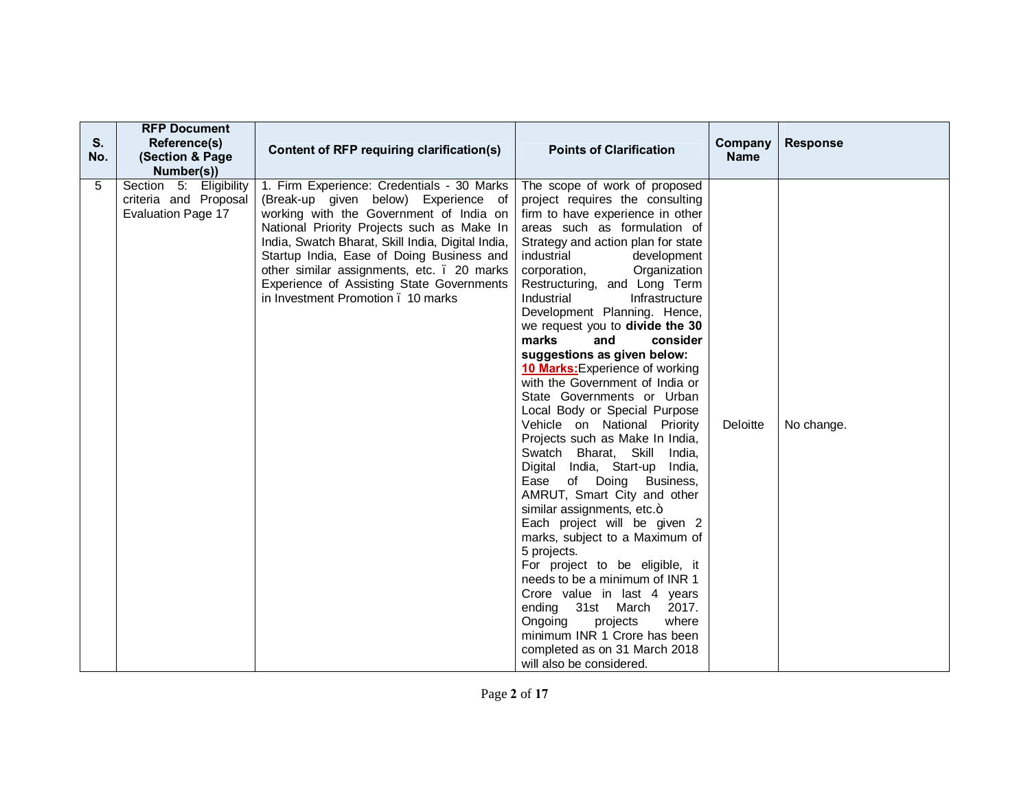| S.<br>No. | <b>RFP Document</b><br>Reference(s)<br>(Section & Page<br>Number(s))         | Content of RFP requiring clarification(s)                                                                                                                                                                                                                                                                                                                                                                     | <b>Points of Clarification</b>                                                                                                                                                                                                                                                                                                                                                                                                                                                                                                                                                                                                                                                                                                                                                                                                                                                                                                                                                                                                                                                                                                                     | Company<br><b>Name</b> | <b>Response</b> |
|-----------|------------------------------------------------------------------------------|---------------------------------------------------------------------------------------------------------------------------------------------------------------------------------------------------------------------------------------------------------------------------------------------------------------------------------------------------------------------------------------------------------------|----------------------------------------------------------------------------------------------------------------------------------------------------------------------------------------------------------------------------------------------------------------------------------------------------------------------------------------------------------------------------------------------------------------------------------------------------------------------------------------------------------------------------------------------------------------------------------------------------------------------------------------------------------------------------------------------------------------------------------------------------------------------------------------------------------------------------------------------------------------------------------------------------------------------------------------------------------------------------------------------------------------------------------------------------------------------------------------------------------------------------------------------------|------------------------|-----------------|
| 5         | Section 5: Eligibility<br>criteria and Proposal<br><b>Evaluation Page 17</b> | 1. Firm Experience: Credentials - 30 Marks<br>(Break-up given below) Experience of<br>working with the Government of India on<br>National Priority Projects such as Make In<br>India, Swatch Bharat, Skill India, Digital India,<br>Startup India, Ease of Doing Business and<br>other similar assignments, etc. . 20 marks<br>Experience of Assisting State Governments<br>in Investment Promotion, 10 marks | The scope of work of proposed<br>project requires the consulting<br>firm to have experience in other<br>areas such as formulation of<br>Strategy and action plan for state<br>industrial<br>development<br>Organization<br>corporation,<br>Restructuring, and Long Term<br>Industrial<br>Infrastructure<br>Development Planning. Hence,<br>we request you to divide the 30<br>marks<br>and<br>consider<br>suggestions as given below:<br>10 Marks: Experience of working<br>with the Government of India or<br>State Governments or Urban<br>Local Body or Special Purpose<br>Vehicle on National Priority<br>Projects such as Make In India,<br>Swatch Bharat, Skill India,<br>Digital India, Start-up India,<br>Ease of Doing Business,<br>AMRUT, Smart City and other<br>similar assignments, etc.+<br>Each project will be given 2<br>marks, subject to a Maximum of<br>5 projects.<br>For project to be eligible, it<br>needs to be a minimum of INR 1<br>Crore value in last 4 years<br>ending 31st March 2017.<br>projects<br>Ongoing<br>where<br>minimum INR 1 Crore has been<br>completed as on 31 March 2018<br>will also be considered. | Deloitte               | No change.      |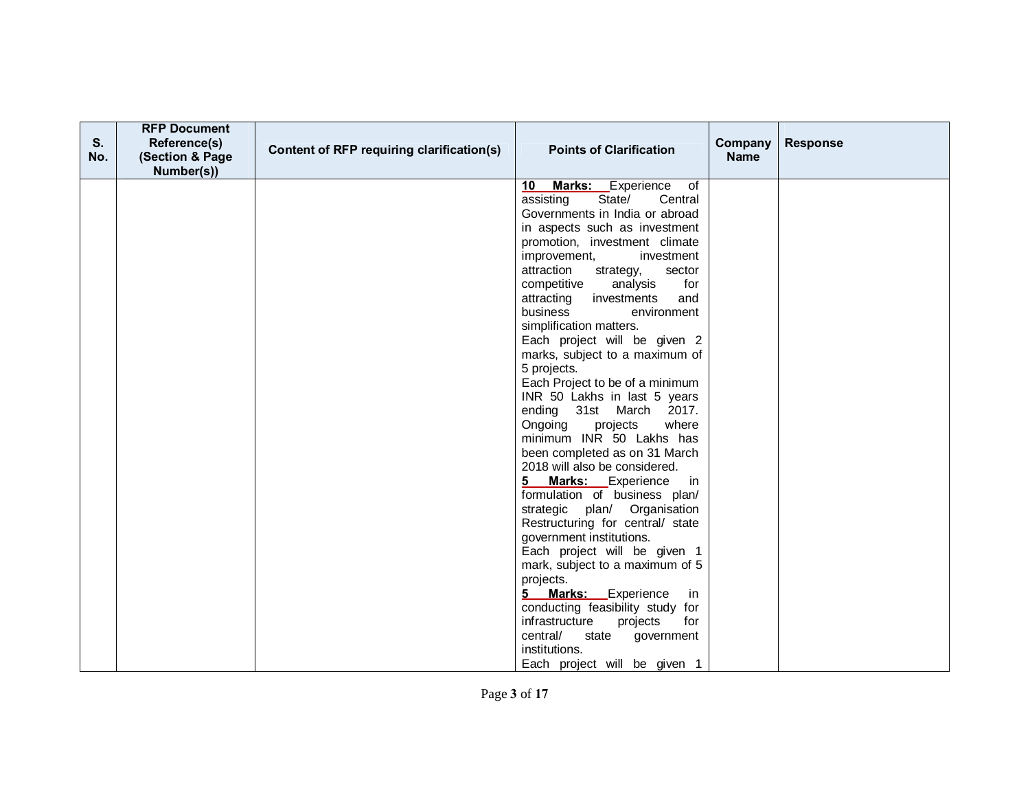| S.<br>No. | <b>RFP Document</b><br>Reference(s)<br>(Section & Page<br>Number(s)) | Content of RFP requiring clarification(s) | <b>Points of Clarification</b>                          | Company<br><b>Name</b> | <b>Response</b> |
|-----------|----------------------------------------------------------------------|-------------------------------------------|---------------------------------------------------------|------------------------|-----------------|
|           |                                                                      |                                           | Marks: Experience of<br>10 <sup>1</sup>                 |                        |                 |
|           |                                                                      |                                           | State/<br>assisting<br>Central                          |                        |                 |
|           |                                                                      |                                           | Governments in India or abroad                          |                        |                 |
|           |                                                                      |                                           | in aspects such as investment                           |                        |                 |
|           |                                                                      |                                           | promotion, investment climate                           |                        |                 |
|           |                                                                      |                                           | improvement,<br>investment                              |                        |                 |
|           |                                                                      |                                           | attraction<br>strategy,<br>sector                       |                        |                 |
|           |                                                                      |                                           | competitive<br>analysis<br>for                          |                        |                 |
|           |                                                                      |                                           | investments<br>attracting<br>and                        |                        |                 |
|           |                                                                      |                                           | business<br>environment                                 |                        |                 |
|           |                                                                      |                                           | simplification matters.                                 |                        |                 |
|           |                                                                      |                                           | Each project will be given 2                            |                        |                 |
|           |                                                                      |                                           | marks, subject to a maximum of                          |                        |                 |
|           |                                                                      |                                           | 5 projects.                                             |                        |                 |
|           |                                                                      |                                           | Each Project to be of a minimum                         |                        |                 |
|           |                                                                      |                                           | INR 50 Lakhs in last 5 years<br>ending 31st March 2017. |                        |                 |
|           |                                                                      |                                           | Ongoing<br>where<br>projects                            |                        |                 |
|           |                                                                      |                                           | minimum INR 50 Lakhs has                                |                        |                 |
|           |                                                                      |                                           | been completed as on 31 March                           |                        |                 |
|           |                                                                      |                                           | 2018 will also be considered.                           |                        |                 |
|           |                                                                      |                                           | 5 Marks: Experience in                                  |                        |                 |
|           |                                                                      |                                           | formulation of business plan/                           |                        |                 |
|           |                                                                      |                                           | strategic plan/ Organisation                            |                        |                 |
|           |                                                                      |                                           | Restructuring for central/ state                        |                        |                 |
|           |                                                                      |                                           | government institutions.                                |                        |                 |
|           |                                                                      |                                           | Each project will be given 1                            |                        |                 |
|           |                                                                      |                                           | mark, subject to a maximum of 5                         |                        |                 |
|           |                                                                      |                                           | projects.                                               |                        |                 |
|           |                                                                      |                                           | 5 Marks: Experience<br>in                               |                        |                 |
|           |                                                                      |                                           | conducting feasibility study for                        |                        |                 |
|           |                                                                      |                                           | infrastructure<br>projects<br>for                       |                        |                 |
|           |                                                                      |                                           | central/<br>state<br>government                         |                        |                 |
|           |                                                                      |                                           | institutions.                                           |                        |                 |
|           |                                                                      |                                           | Each project will be given 1                            |                        |                 |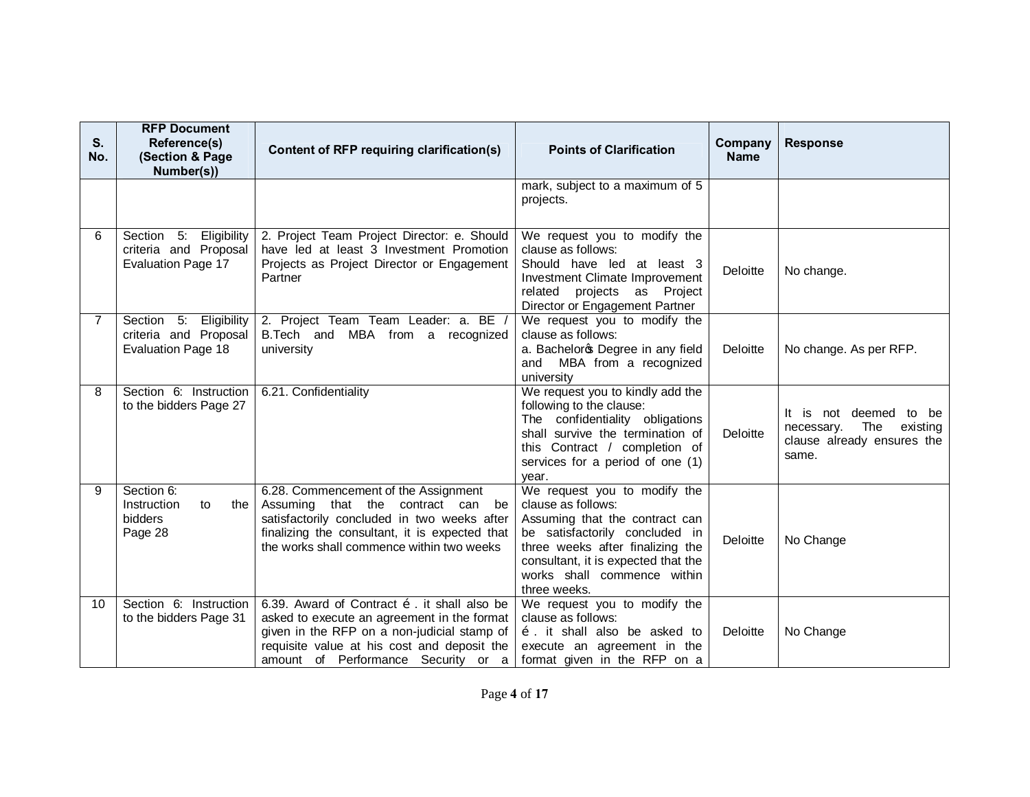| S.<br>No.    | <b>RFP Document</b><br>Reference(s)<br>(Section & Page<br>Number(s))         | Content of RFP requiring clarification(s)                                                                                                                                                                                                        | <b>Points of Clarification</b>                                                                                                                                                                                                                   | Company<br><b>Name</b> | <b>Response</b>                                                                                   |
|--------------|------------------------------------------------------------------------------|--------------------------------------------------------------------------------------------------------------------------------------------------------------------------------------------------------------------------------------------------|--------------------------------------------------------------------------------------------------------------------------------------------------------------------------------------------------------------------------------------------------|------------------------|---------------------------------------------------------------------------------------------------|
|              |                                                                              |                                                                                                                                                                                                                                                  | mark, subject to a maximum of 5<br>projects.                                                                                                                                                                                                     |                        |                                                                                                   |
| 6            | Section 5: Eligibility<br>criteria and Proposal<br>Evaluation Page 17        | 2. Project Team Project Director: e. Should<br>have led at least 3 Investment Promotion<br>Projects as Project Director or Engagement<br>Partner                                                                                                 | We request you to modify the<br>clause as follows:<br>Should have led at least 3<br>Investment Climate Improvement<br>related projects as Project<br>Director or Engagement Partner                                                              | Deloitte               | No change.                                                                                        |
| $\mathbf{7}$ | Section 5: Eligibility<br>criteria and Proposal<br><b>Evaluation Page 18</b> | 2. Project Team Team Leader: a. BE /<br>B.Tech and MBA from a recognized<br>university                                                                                                                                                           | We request you to modify the<br>clause as follows:<br>a. Bacheloros Degree in any field<br>and MBA from a recognized<br>university                                                                                                               | Deloitte               | No change. As per RFP.                                                                            |
| 8            | Section 6: Instruction<br>to the bidders Page 27                             | 6.21. Confidentiality                                                                                                                                                                                                                            | We request you to kindly add the<br>following to the clause:<br>The confidentiality obligations<br>shall survive the termination of<br>this Contract / completion of<br>services for a period of one (1)<br>year.                                | Deloitte               | It is not deemed<br>to be<br>The<br>existing<br>necessary.<br>clause already ensures the<br>same. |
| 9            | Section 6:<br>Instruction<br>to<br>the<br>bidders<br>Page 28                 | 6.28. Commencement of the Assignment<br>Assuming that the contract can<br>be<br>satisfactorily concluded in two weeks after<br>finalizing the consultant, it is expected that<br>the works shall commence within two weeks                       | We request you to modify the<br>clause as follows:<br>Assuming that the contract can<br>be satisfactorily concluded in<br>three weeks after finalizing the<br>consultant, it is expected that the<br>works shall commence within<br>three weeks. | Deloitte               | No Change                                                                                         |
| 10           | Section 6: Instruction<br>to the bidders Page 31                             | 6.39. Award of Contract $\ddot{\text{o}}$ . it shall also be<br>asked to execute an agreement in the format<br>given in the RFP on a non-judicial stamp of<br>requisite value at his cost and deposit the<br>amount of Performance Security or a | We request you to modify the<br>clause as follows:<br>õ. it shall also be asked to<br>execute an agreement in the<br>format given in the RFP on a                                                                                                | Deloitte               | No Change                                                                                         |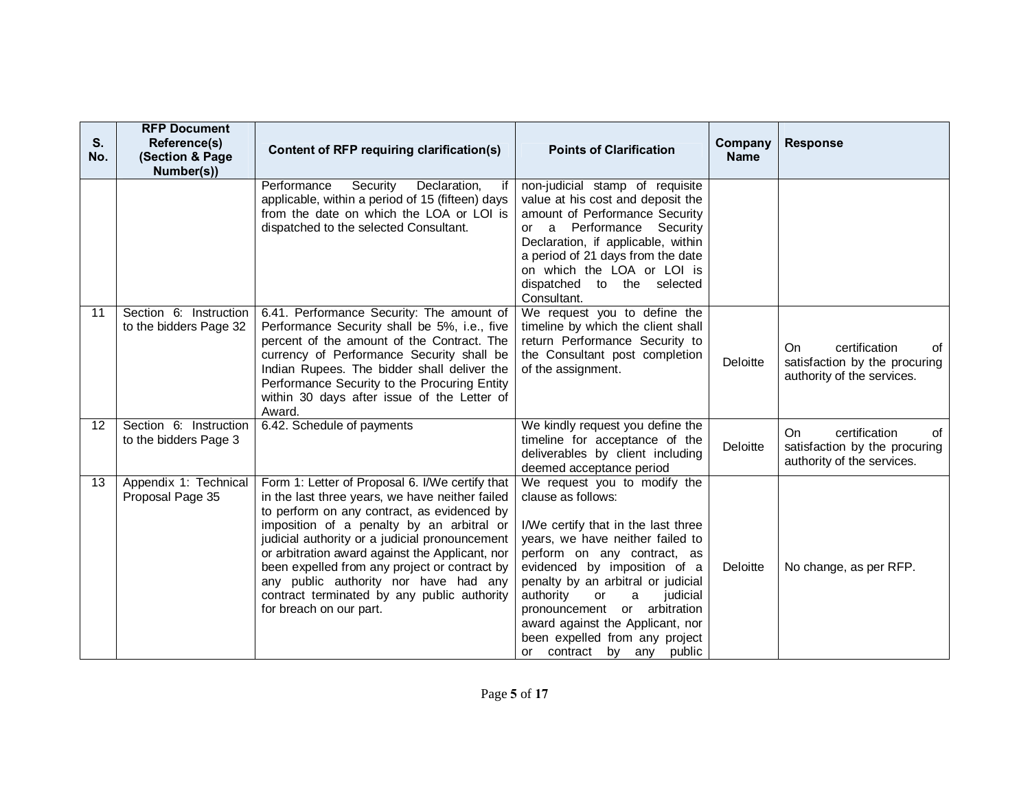| S.<br>No. | <b>RFP Document</b><br>Reference(s)<br>(Section & Page<br>Number(s)) | Content of RFP requiring clarification(s)                                                                                                                                                                                                                                                                                                                                                                                                                               | <b>Points of Clarification</b>                                                                                                                                                                                                                                                                                                                                                                                   | Company<br><b>Name</b> | <b>Response</b>                                                                           |
|-----------|----------------------------------------------------------------------|-------------------------------------------------------------------------------------------------------------------------------------------------------------------------------------------------------------------------------------------------------------------------------------------------------------------------------------------------------------------------------------------------------------------------------------------------------------------------|------------------------------------------------------------------------------------------------------------------------------------------------------------------------------------------------------------------------------------------------------------------------------------------------------------------------------------------------------------------------------------------------------------------|------------------------|-------------------------------------------------------------------------------------------|
|           |                                                                      | Performance<br>Security Declaration,<br>if<br>applicable, within a period of 15 (fifteen) days<br>from the date on which the LOA or LOI is<br>dispatched to the selected Consultant.                                                                                                                                                                                                                                                                                    | non-judicial stamp of requisite<br>value at his cost and deposit the<br>amount of Performance Security<br>or a Performance Security<br>Declaration, if applicable, within<br>a period of 21 days from the date<br>on which the LOA or LOI is<br>dispatched to the selected<br>Consultant.                                                                                                                        |                        |                                                                                           |
| 11        | Section 6: Instruction<br>to the bidders Page 32                     | 6.41. Performance Security: The amount of<br>Performance Security shall be 5%, i.e., five<br>percent of the amount of the Contract. The<br>currency of Performance Security shall be<br>Indian Rupees. The bidder shall deliver the<br>Performance Security to the Procuring Entity<br>within 30 days after issue of the Letter of<br>Award.                                                                                                                            | We request you to define the<br>timeline by which the client shall<br>return Performance Security to<br>the Consultant post completion<br>of the assignment.                                                                                                                                                                                                                                                     | Deloitte               | On.<br>certification<br>of<br>satisfaction by the procuring<br>authority of the services. |
| 12        | Section 6: Instruction<br>to the bidders Page 3                      | 6.42. Schedule of payments                                                                                                                                                                                                                                                                                                                                                                                                                                              | We kindly request you define the<br>timeline for acceptance of the<br>deliverables by client including<br>deemed acceptance period                                                                                                                                                                                                                                                                               | Deloitte               | certification<br>On<br>of<br>satisfaction by the procuring<br>authority of the services.  |
| 13        | Appendix 1: Technical<br>Proposal Page 35                            | Form 1: Letter of Proposal 6. I/We certify that<br>in the last three years, we have neither failed<br>to perform on any contract, as evidenced by<br>imposition of a penalty by an arbitral or<br>judicial authority or a judicial pronouncement<br>or arbitration award against the Applicant, nor<br>been expelled from any project or contract by<br>any public authority nor have had any<br>contract terminated by any public authority<br>for breach on our part. | We request you to modify the<br>clause as follows:<br>I/We certify that in the last three<br>years, we have neither failed to<br>perform on any contract, as<br>evidenced by imposition of a<br>penalty by an arbitral or judicial<br>authority<br>a<br>judicial<br><b>or</b><br>pronouncement or arbitration<br>award against the Applicant, nor<br>been expelled from any project<br>or contract by any public | Deloitte               | No change, as per RFP.                                                                    |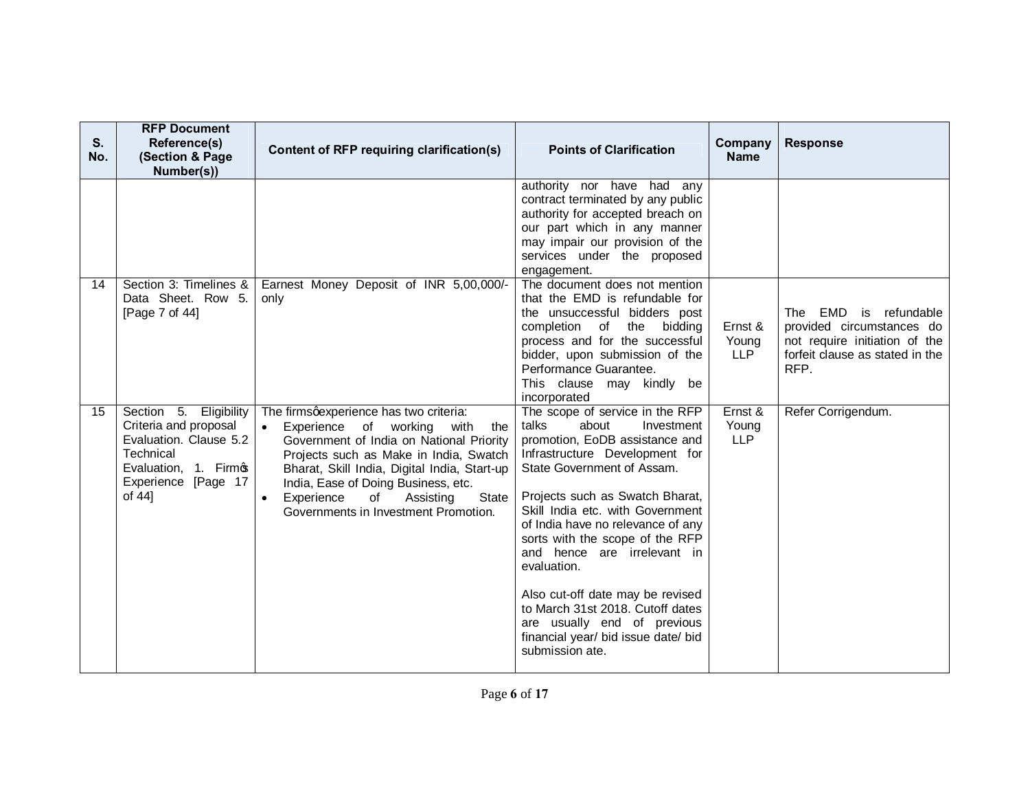| S.<br>No. | <b>RFP Document</b><br>Reference(s)<br>(Section & Page<br>Number(s))                                                                                | Content of RFP requiring clarification(s)                                                                                                                                                                                                                                                                                                               | <b>Points of Clarification</b>                                                                                                                                                                                                                                                                                                                                                                                                                                                                                                  | Company<br><b>Name</b>         | <b>Response</b>                                                                                                                |
|-----------|-----------------------------------------------------------------------------------------------------------------------------------------------------|---------------------------------------------------------------------------------------------------------------------------------------------------------------------------------------------------------------------------------------------------------------------------------------------------------------------------------------------------------|---------------------------------------------------------------------------------------------------------------------------------------------------------------------------------------------------------------------------------------------------------------------------------------------------------------------------------------------------------------------------------------------------------------------------------------------------------------------------------------------------------------------------------|--------------------------------|--------------------------------------------------------------------------------------------------------------------------------|
|           |                                                                                                                                                     |                                                                                                                                                                                                                                                                                                                                                         | authority nor have had any<br>contract terminated by any public<br>authority for accepted breach on<br>our part which in any manner<br>may impair our provision of the<br>services under the proposed<br>engagement.                                                                                                                                                                                                                                                                                                            |                                |                                                                                                                                |
| 14        | Section 3: Timelines &<br>Data Sheet. Row 5.<br>[Page 7 of 44]                                                                                      | Earnest Money Deposit of INR 5,00,000/-<br>only                                                                                                                                                                                                                                                                                                         | The document does not mention<br>that the EMD is refundable for<br>the unsuccessful bidders post<br>completion of the bidding<br>process and for the successful<br>bidder, upon submission of the<br>Performance Guarantee.<br>This clause may kindly be<br>incorporated                                                                                                                                                                                                                                                        | Ernst &<br>Young<br><b>LLP</b> | The EMD is refundable<br>provided circumstances do<br>not require initiation of the<br>forfeit clause as stated in the<br>RFP. |
| 15        | Section 5.<br>Eligibility<br>Criteria and proposal<br>Evaluation. Clause 5.2<br>Technical<br>Evaluation, 1. Firmos<br>Experience [Page 17<br>of 44] | The firmsqexperience has two criteria:<br>Experience of working with<br>$\bullet$<br>the<br>Government of India on National Priority<br>Projects such as Make in India, Swatch<br>Bharat, Skill India, Digital India, Start-up<br>India, Ease of Doing Business, etc.<br>Experience<br>of<br>Assisting<br>State<br>Governments in Investment Promotion. | The scope of service in the RFP<br>about<br>talks<br>Investment<br>promotion, EoDB assistance and<br>Infrastructure Development for<br>State Government of Assam.<br>Projects such as Swatch Bharat,<br>Skill India etc. with Government<br>of India have no relevance of any<br>sorts with the scope of the RFP<br>and hence are irrelevant in<br>evaluation.<br>Also cut-off date may be revised<br>to March 31st 2018. Cutoff dates<br>are usually end of previous<br>financial year/ bid issue date/ bid<br>submission ate. | Ernst &<br>Young<br><b>LLP</b> | Refer Corrigendum.                                                                                                             |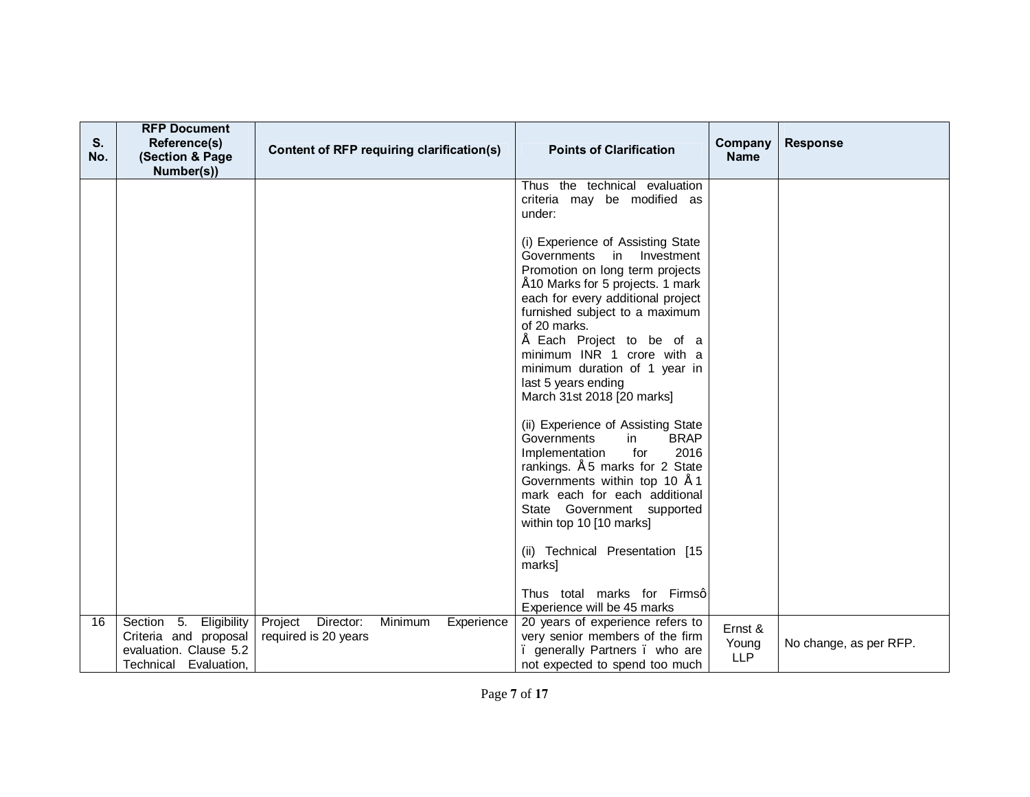| S.<br>No. | <b>RFP Document</b><br>Reference(s)<br>(Section & Page<br>Number(s))                                  | Content of RFP requiring clarification(s) |         |            | <b>Points of Clarification</b>                                                                                                                                                                                                                                                                                                                                              | Company<br><b>Name</b>         | <b>Response</b>        |
|-----------|-------------------------------------------------------------------------------------------------------|-------------------------------------------|---------|------------|-----------------------------------------------------------------------------------------------------------------------------------------------------------------------------------------------------------------------------------------------------------------------------------------------------------------------------------------------------------------------------|--------------------------------|------------------------|
|           |                                                                                                       |                                           |         |            | Thus the technical evaluation<br>criteria may be modified as<br>under:                                                                                                                                                                                                                                                                                                      |                                |                        |
|           |                                                                                                       |                                           |         |            | (i) Experience of Assisting State<br>Governments in Investment<br>Promotion on long term projects<br>"10 Marks for 5 projects. 1 mark<br>each for every additional project<br>furnished subject to a maximum<br>of 20 marks.<br>Each Project to be of a<br>minimum INR 1 crore with a<br>minimum duration of 1 year in<br>last 5 years ending<br>March 31st 2018 [20 marks] |                                |                        |
|           |                                                                                                       |                                           |         |            | (ii) Experience of Assisting State<br>Governments<br><b>BRAP</b><br>in<br>2016<br>Implementation<br>for<br>rankings. " 5 marks for 2 State<br>Governments within top 10 "1<br>mark each for each additional<br>State Government supported<br>within top 10 [10 marks]                                                                                                       |                                |                        |
|           |                                                                                                       |                                           |         |            | (ii) Technical Presentation [15<br>marks]<br>Thus total marks for Firmsq<br>Experience will be 45 marks                                                                                                                                                                                                                                                                     |                                |                        |
| 16        | Section 5.<br>Eligibility<br>Criteria and proposal<br>evaluation. Clause 5.2<br>Technical Evaluation, | Project Director:<br>required is 20 years | Minimum | Experience | 20 years of experience refers to<br>very senior members of the firm<br>. generally Partners . who are<br>not expected to spend too much                                                                                                                                                                                                                                     | Ernst &<br>Young<br><b>LLP</b> | No change, as per RFP. |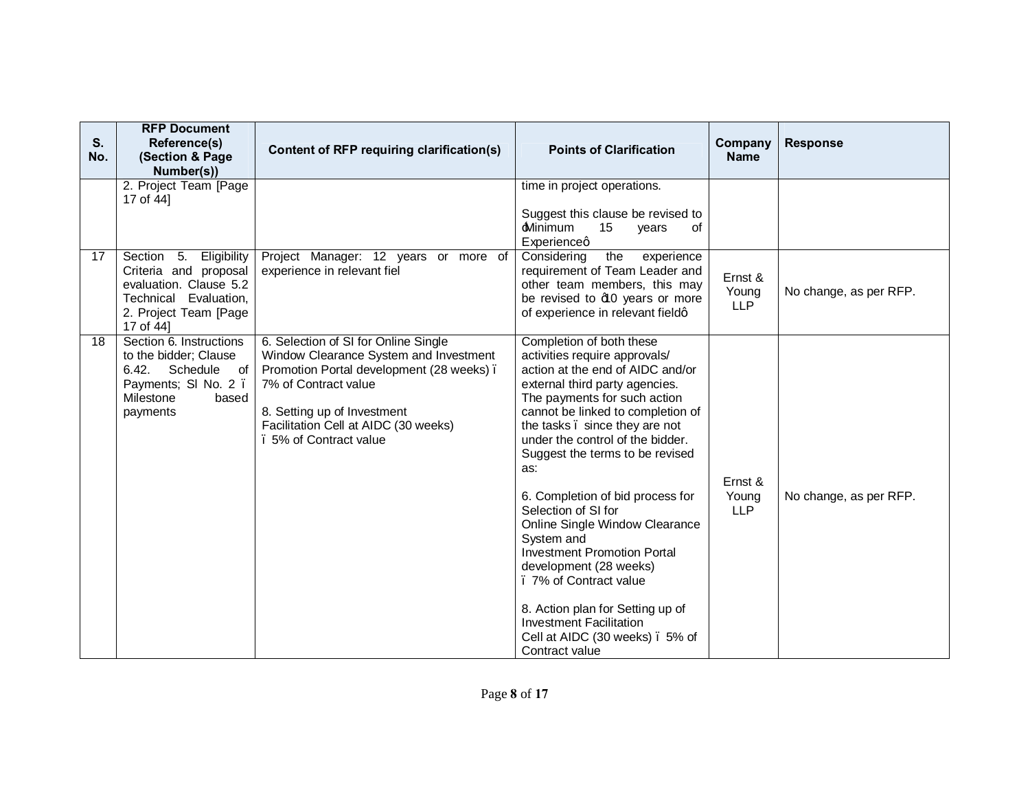| S.<br>No. | <b>RFP Document</b><br>Reference(s)<br>(Section & Page<br>Number(s))                                                                        | Content of RFP requiring clarification(s)                                                                                                                                                                                                           | <b>Points of Clarification</b>                                                                                                                                                                                                                                                                                                                                                                                                                                                                                                                                                                                                                     | Company<br><b>Name</b>         | <b>Response</b>        |
|-----------|---------------------------------------------------------------------------------------------------------------------------------------------|-----------------------------------------------------------------------------------------------------------------------------------------------------------------------------------------------------------------------------------------------------|----------------------------------------------------------------------------------------------------------------------------------------------------------------------------------------------------------------------------------------------------------------------------------------------------------------------------------------------------------------------------------------------------------------------------------------------------------------------------------------------------------------------------------------------------------------------------------------------------------------------------------------------------|--------------------------------|------------------------|
|           | 2. Project Team [Page<br>17 of 44]                                                                                                          |                                                                                                                                                                                                                                                     | time in project operations.<br>Suggest this clause be revised to<br><b>Minimum</b><br>15<br>years<br>0f<br>Experienceg                                                                                                                                                                                                                                                                                                                                                                                                                                                                                                                             |                                |                        |
| 17        | Section 5.<br>Eligibility<br>Criteria and proposal<br>evaluation. Clause 5.2<br>Technical Evaluation,<br>2. Project Team [Page<br>17 of 44] | Project Manager: 12 years or more of<br>experience in relevant fiel                                                                                                                                                                                 | the<br>Considering<br>experience<br>requirement of Team Leader and<br>other team members, this may<br>be revised to d0 years or more<br>of experience in relevant fieldq                                                                                                                                                                                                                                                                                                                                                                                                                                                                           | Ernst &<br>Young<br><b>LLP</b> | No change, as per RFP. |
| 18        | Section 6. Instructions<br>to the bidder; Clause<br>6.42.<br>Schedule<br>of<br>Payments; SI No. 2.<br>Milestone<br>based<br>payments        | 6. Selection of SI for Online Single<br>Window Clearance System and Investment<br>Promotion Portal development (28 weeks).<br>7% of Contract value<br>8. Setting up of Investment<br>Facilitation Cell at AIDC (30 weeks)<br>. 5% of Contract value | Completion of both these<br>activities require approvals/<br>action at the end of AIDC and/or<br>external third party agencies.<br>The payments for such action<br>cannot be linked to completion of<br>the tasks. since they are not<br>under the control of the bidder.<br>Suggest the terms to be revised<br>as:<br>6. Completion of bid process for<br>Selection of SI for<br>Online Single Window Clearance<br>System and<br><b>Investment Promotion Portal</b><br>development (28 weeks)<br>. 7% of Contract value<br>8. Action plan for Setting up of<br><b>Investment Facilitation</b><br>Cell at AIDC (30 weeks). 5% of<br>Contract value | Ernst &<br>Young<br><b>LLP</b> | No change, as per RFP. |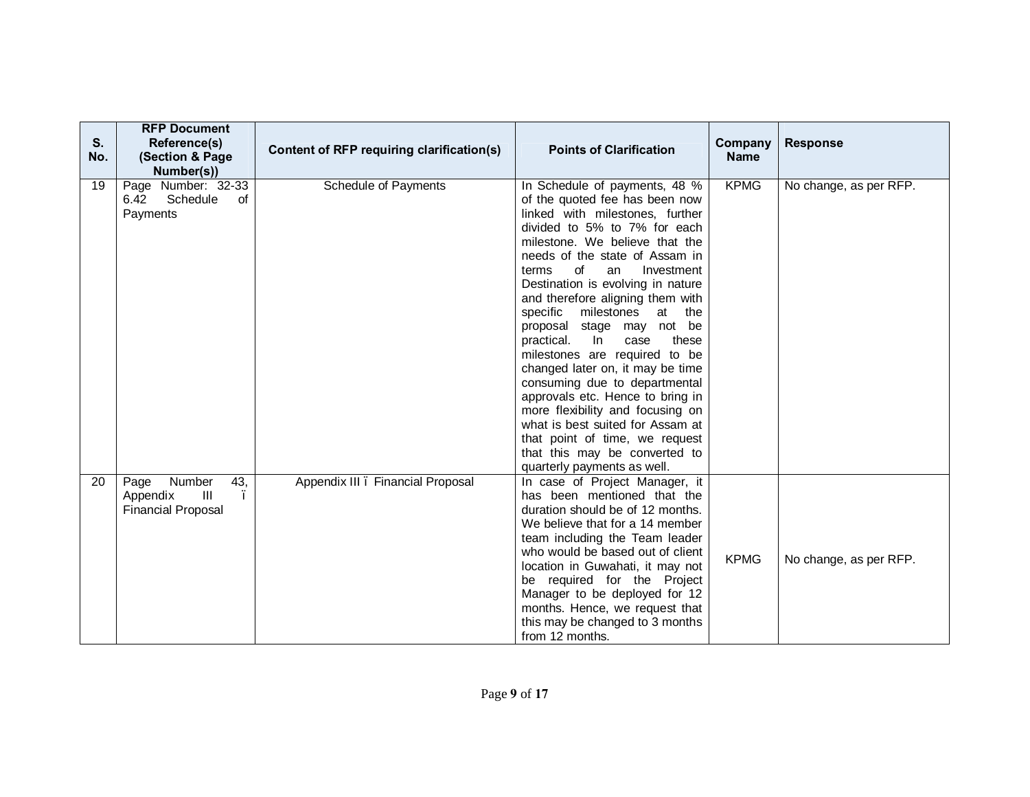| S.<br>No. | <b>RFP Document</b><br>Reference(s)<br>(Section & Page<br>Number(s))             | Content of RFP requiring clarification(s) | <b>Points of Clarification</b>                                                                                                                                                                                                                                                                                                                                                                                                                                                                                                                                                                                                                                                                                                            | Company<br><b>Name</b> | <b>Response</b>        |
|-----------|----------------------------------------------------------------------------------|-------------------------------------------|-------------------------------------------------------------------------------------------------------------------------------------------------------------------------------------------------------------------------------------------------------------------------------------------------------------------------------------------------------------------------------------------------------------------------------------------------------------------------------------------------------------------------------------------------------------------------------------------------------------------------------------------------------------------------------------------------------------------------------------------|------------------------|------------------------|
| 19        | Page Number: 32-33<br>Schedule<br>6.42<br>of<br>Payments                         | <b>Schedule of Payments</b>               | In Schedule of payments, 48 %<br>of the quoted fee has been now<br>linked with milestones, further<br>divided to 5% to 7% for each<br>milestone. We believe that the<br>needs of the state of Assam in<br>terms<br>of<br>Investment<br>an<br>Destination is evolving in nature<br>and therefore aligning them with<br>specific milestones at<br>the<br>proposal stage may not be<br>practical.<br>In<br>case<br>these<br>milestones are required to be<br>changed later on, it may be time<br>consuming due to departmental<br>approvals etc. Hence to bring in<br>more flexibility and focusing on<br>what is best suited for Assam at<br>that point of time, we request<br>that this may be converted to<br>quarterly payments as well. | <b>KPMG</b>            | No change, as per RFP. |
| 20        | Number<br>43,<br>Page<br>$\mathbf{III}$<br>Appendix<br><b>Financial Proposal</b> | Appendix III . Financial Proposal         | In case of Project Manager, it<br>has been mentioned that the<br>duration should be of 12 months.<br>We believe that for a 14 member<br>team including the Team leader<br>who would be based out of client<br>location in Guwahati, it may not<br>be required for the Project<br>Manager to be deployed for 12<br>months. Hence, we request that<br>this may be changed to 3 months<br>from 12 months.                                                                                                                                                                                                                                                                                                                                    | <b>KPMG</b>            | No change, as per RFP. |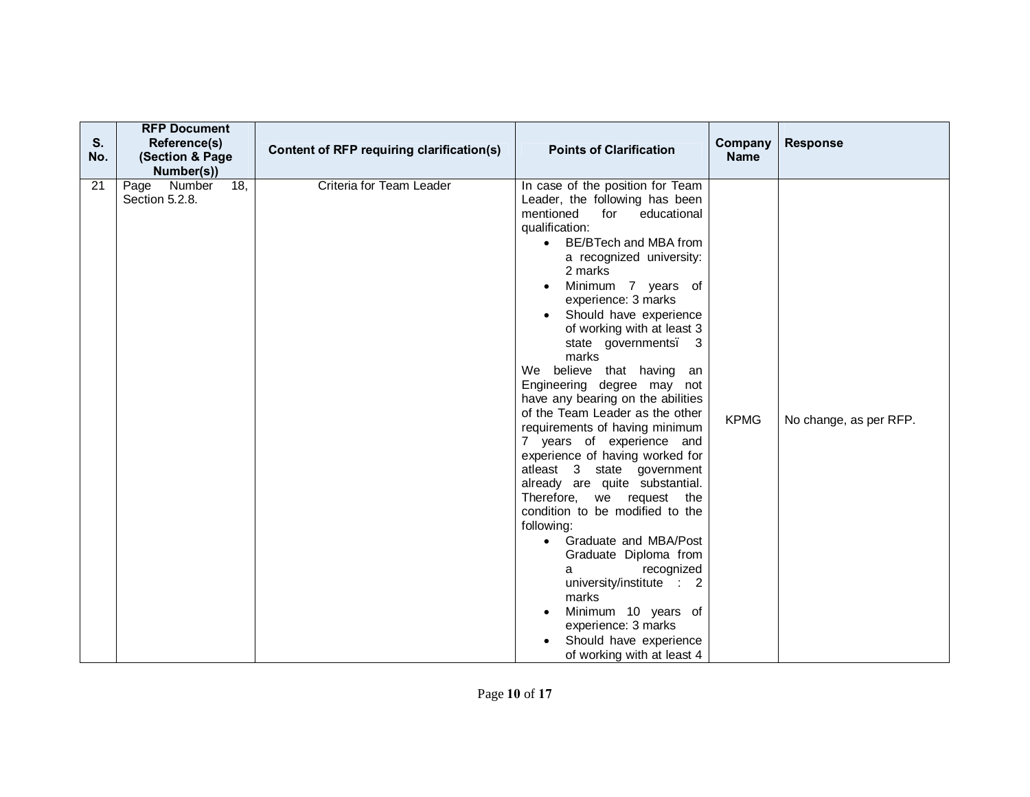| S.<br>No. | <b>RFP Document</b><br>Reference(s)<br>(Section & Page<br>Number(s)) | Content of RFP requiring clarification(s) | <b>Points of Clarification</b>                                                                                                                                                                                                                                                                                                                                                                                                                                                                                                                                                                                                                                                                                                                                                                                                                                                                                                                   | Company<br><b>Name</b> | <b>Response</b>        |
|-----------|----------------------------------------------------------------------|-------------------------------------------|--------------------------------------------------------------------------------------------------------------------------------------------------------------------------------------------------------------------------------------------------------------------------------------------------------------------------------------------------------------------------------------------------------------------------------------------------------------------------------------------------------------------------------------------------------------------------------------------------------------------------------------------------------------------------------------------------------------------------------------------------------------------------------------------------------------------------------------------------------------------------------------------------------------------------------------------------|------------------------|------------------------|
| 21        | $\overline{18}$<br>Number<br>Page<br>Section 5.2.8.                  | Criteria for Team Leader                  | In case of the position for Team<br>Leader, the following has been<br>mentioned<br>for<br>educational<br>qualification:<br>BE/BTech and MBA from<br>$\bullet$<br>a recognized university:<br>2 marks<br>Minimum 7 years of<br>experience: 3 marks<br>Should have experience<br>of working with at least 3<br>state governments. 3<br>marks<br>believe that having an<br>We<br>Engineering degree may not<br>have any bearing on the abilities<br>of the Team Leader as the other<br>requirements of having minimum<br>7 years of experience and<br>experience of having worked for<br>atleast 3 state government<br>already are quite substantial.<br>Therefore, we request the<br>condition to be modified to the<br>following:<br>Graduate and MBA/Post<br>Graduate Diploma from<br>recognized<br>а<br>university/institute : 2<br>marks<br>Minimum 10 years of<br>experience: 3 marks<br>Should have experience<br>of working with at least 4 | <b>KPMG</b>            | No change, as per RFP. |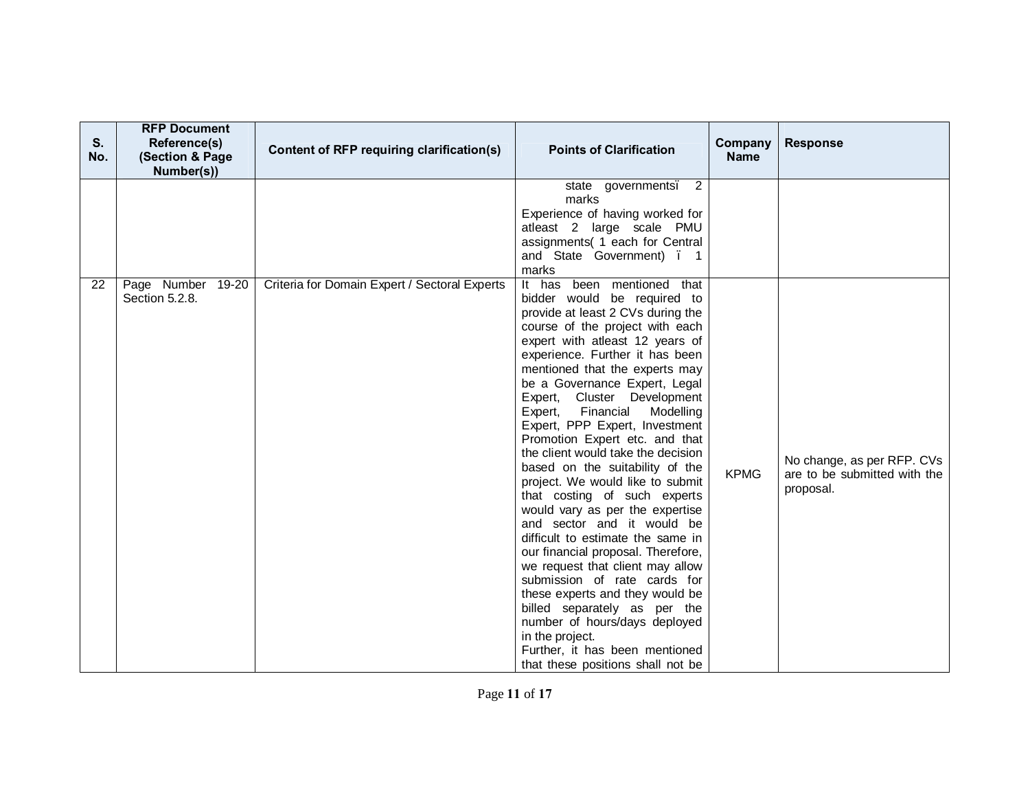| S.<br>No. | <b>RFP Document</b><br>Reference(s)<br>(Section & Page<br>Number(s)) | Content of RFP requiring clarification(s)     | <b>Points of Clarification</b>                                                                                                                                                                                                                                                                                                                                                                                                                                                                                                                                                                                                                                                                                                                                                                                                                                                                                                                                             | Company<br><b>Name</b> | <b>Response</b>                                                         |
|-----------|----------------------------------------------------------------------|-----------------------------------------------|----------------------------------------------------------------------------------------------------------------------------------------------------------------------------------------------------------------------------------------------------------------------------------------------------------------------------------------------------------------------------------------------------------------------------------------------------------------------------------------------------------------------------------------------------------------------------------------------------------------------------------------------------------------------------------------------------------------------------------------------------------------------------------------------------------------------------------------------------------------------------------------------------------------------------------------------------------------------------|------------------------|-------------------------------------------------------------------------|
|           |                                                                      |                                               | $\overline{2}$<br>state governments.<br>marks<br>Experience of having worked for<br>atleast 2 large scale PMU<br>assignments( 1 each for Central<br>and State Government) . 1<br>marks                                                                                                                                                                                                                                                                                                                                                                                                                                                                                                                                                                                                                                                                                                                                                                                     |                        |                                                                         |
| 22        | Page Number 19-20<br>Section 5.2.8.                                  | Criteria for Domain Expert / Sectoral Experts | It has been mentioned that<br>bidder would be required to<br>provide at least 2 CVs during the<br>course of the project with each<br>expert with atleast 12 years of<br>experience. Further it has been<br>mentioned that the experts may<br>be a Governance Expert, Legal<br>Expert, Cluster Development<br>Expert, Financial<br>Modelling<br>Expert, PPP Expert, Investment<br>Promotion Expert etc. and that<br>the client would take the decision<br>based on the suitability of the<br>project. We would like to submit<br>that costing of such experts<br>would vary as per the expertise<br>and sector and it would be<br>difficult to estimate the same in<br>our financial proposal. Therefore,<br>we request that client may allow<br>submission of rate cards for<br>these experts and they would be<br>billed separately as per the<br>number of hours/days deployed<br>in the project.<br>Further, it has been mentioned<br>that these positions shall not be | <b>KPMG</b>            | No change, as per RFP. CVs<br>are to be submitted with the<br>proposal. |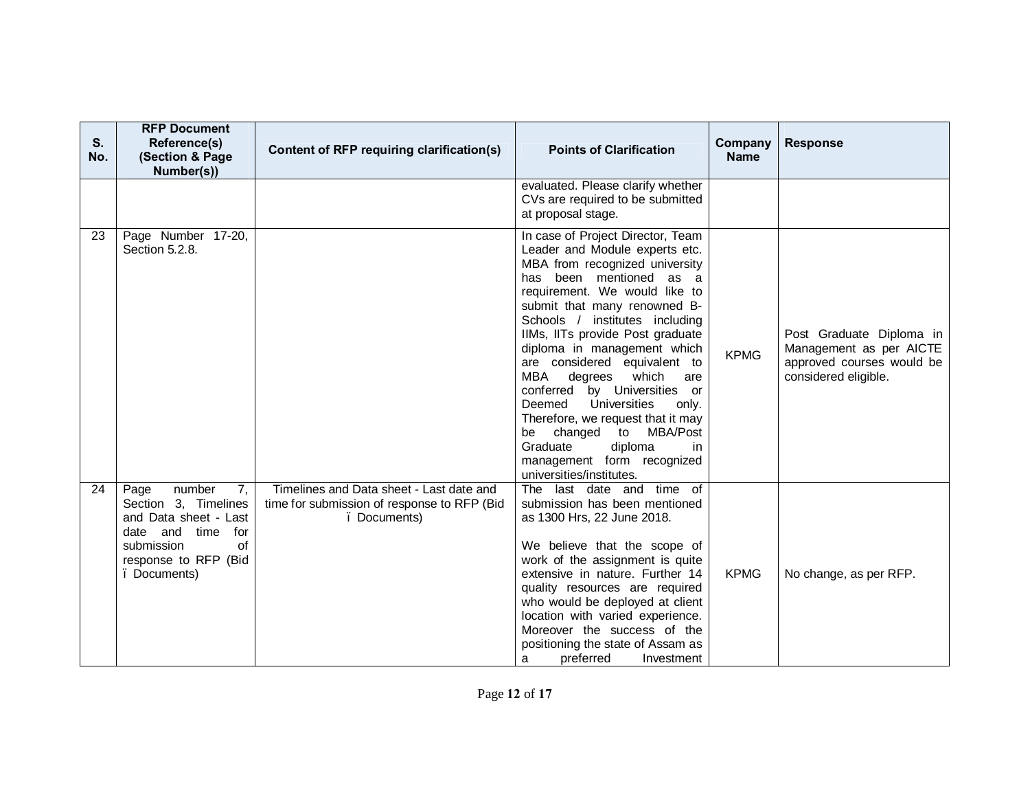| S.<br>No. | <b>RFP Document</b><br>Reference(s)<br>(Section & Page<br>Number(s))                                                                                      | Content of RFP requiring clarification(s)                                                               | <b>Points of Clarification</b>                                                                                                                                                                                                                                                                                                                                                                                                                                                                                                                                                                       | Company<br><b>Name</b> | <b>Response</b>                                                                                          |
|-----------|-----------------------------------------------------------------------------------------------------------------------------------------------------------|---------------------------------------------------------------------------------------------------------|------------------------------------------------------------------------------------------------------------------------------------------------------------------------------------------------------------------------------------------------------------------------------------------------------------------------------------------------------------------------------------------------------------------------------------------------------------------------------------------------------------------------------------------------------------------------------------------------------|------------------------|----------------------------------------------------------------------------------------------------------|
|           |                                                                                                                                                           |                                                                                                         | evaluated. Please clarify whether<br>CVs are required to be submitted<br>at proposal stage.                                                                                                                                                                                                                                                                                                                                                                                                                                                                                                          |                        |                                                                                                          |
| 23        | Page Number 17-20,<br>Section 5.2.8.                                                                                                                      |                                                                                                         | In case of Project Director, Team<br>Leader and Module experts etc.<br>MBA from recognized university<br>has been mentioned as a<br>requirement. We would like to<br>submit that many renowned B-<br>Schools / institutes including<br>IIMs, IITs provide Post graduate<br>diploma in management which<br>are considered equivalent to<br>MBA<br>degrees<br>which<br>are<br>conferred by Universities or<br>Universities<br>Deemed<br>only.<br>Therefore, we request that it may<br>changed to MBA/Post<br>be<br>diploma<br>Graduate<br>in<br>management form recognized<br>universities/institutes. | <b>KPMG</b>            | Post Graduate Diploma in<br>Management as per AICTE<br>approved courses would be<br>considered eligible. |
| 24        | number<br>7,<br>Page<br>Section 3, Timelines<br>and Data sheet - Last<br>date and time<br>for<br>of<br>submission<br>response to RFP (Bid<br>. Documents) | Timelines and Data sheet - Last date and<br>time for submission of response to RFP (Bid<br>. Documents) | The last date and time of<br>submission has been mentioned<br>as 1300 Hrs, 22 June 2018.<br>We believe that the scope of<br>work of the assignment is quite<br>extensive in nature. Further 14<br>quality resources are required<br>who would be deployed at client<br>location with varied experience.<br>Moreover the success of the<br>positioning the state of Assam as<br>preferred<br>Investment<br>a                                                                                                                                                                                          | <b>KPMG</b>            | No change, as per RFP.                                                                                   |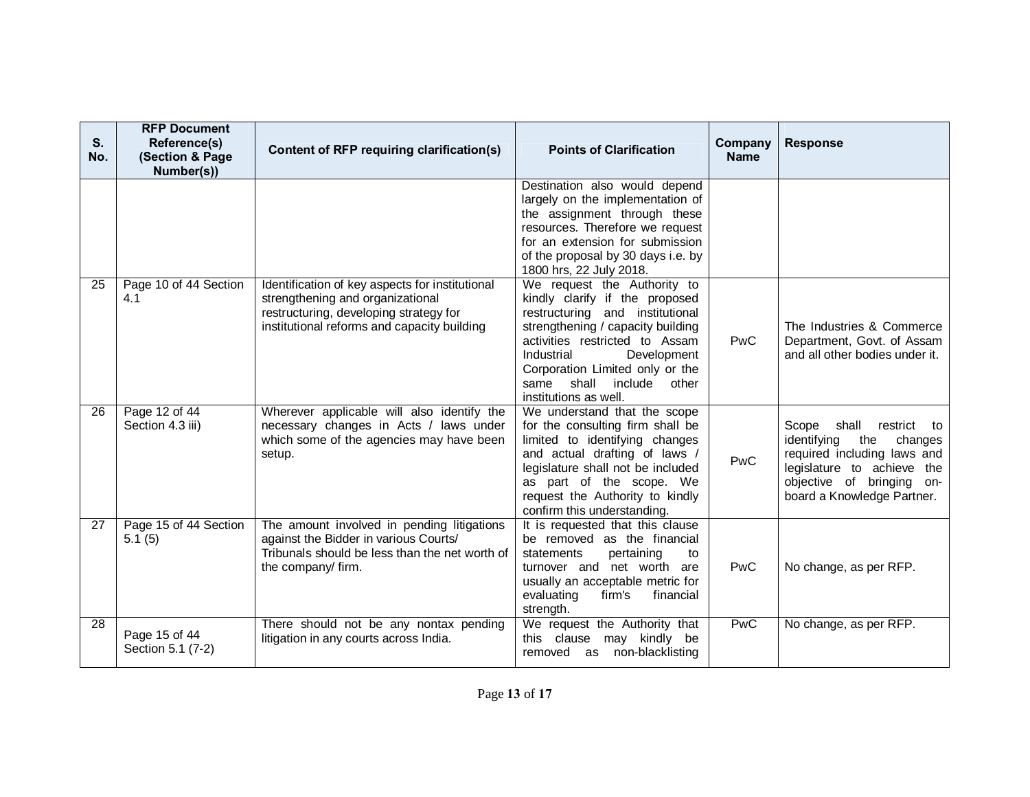| S.<br>No.       | <b>RFP Document</b><br>Reference(s)<br>(Section & Page<br>Number(s)) | Content of RFP requiring clarification(s)                                                                                                                                    | <b>Points of Clarification</b>                                                                                                                                                                                                                                                                        | Company<br><b>Name</b> | <b>Response</b>                                                                                                                                                                           |
|-----------------|----------------------------------------------------------------------|------------------------------------------------------------------------------------------------------------------------------------------------------------------------------|-------------------------------------------------------------------------------------------------------------------------------------------------------------------------------------------------------------------------------------------------------------------------------------------------------|------------------------|-------------------------------------------------------------------------------------------------------------------------------------------------------------------------------------------|
|                 |                                                                      |                                                                                                                                                                              | Destination also would depend<br>largely on the implementation of<br>the assignment through these<br>resources. Therefore we request<br>for an extension for submission<br>of the proposal by 30 days i.e. by<br>1800 hrs, 22 July 2018.                                                              |                        |                                                                                                                                                                                           |
| $\overline{25}$ | Page 10 of 44 Section<br>4.1                                         | Identification of key aspects for institutional<br>strengthening and organizational<br>restructuring, developing strategy for<br>institutional reforms and capacity building | We request the Authority to<br>kindly clarify if the proposed<br>restructuring and institutional<br>strengthening / capacity building<br>activities restricted to Assam<br>Industrial<br>Development<br>Corporation Limited only or the<br>shall<br>include<br>other<br>same<br>institutions as well. | PwC                    | The Industries & Commerce<br>Department, Govt. of Assam<br>and all other bodies under it.                                                                                                 |
| 26              | Page 12 of 44<br>Section 4.3 iii)                                    | Wherever applicable will also identify the<br>necessary changes in Acts / laws under<br>which some of the agencies may have been<br>setup.                                   | We understand that the scope<br>for the consulting firm shall be<br>limited to identifying changes<br>and actual drafting of laws /<br>legislature shall not be included<br>as part of the scope. We<br>request the Authority to kindly<br>confirm this understanding.                                | PwC                    | Scope<br>shall<br>restrict<br>to<br>identifying<br>the<br>changes<br>required including laws and<br>legislature to achieve the<br>objective of bringing on-<br>board a Knowledge Partner. |
| 27              | Page 15 of 44 Section<br>5.1(5)                                      | The amount involved in pending litigations<br>against the Bidder in various Courts/<br>Tribunals should be less than the net worth of<br>the company/ firm.                  | It is requested that this clause<br>be removed as the financial<br>statements<br>pertaining<br>to<br>turnover and net worth are<br>usually an acceptable metric for<br>firm's<br>financial<br>evaluating<br>strength.                                                                                 | PwC                    | No change, as per RFP.                                                                                                                                                                    |
| $\overline{28}$ | Page 15 of 44<br>Section 5.1 (7-2)                                   | There should not be any nontax pending<br>litigation in any courts across India.                                                                                             | We request the Authority that<br>this clause<br>may kindly be<br>removed as non-blacklisting                                                                                                                                                                                                          | <b>PwC</b>             | No change, as per RFP.                                                                                                                                                                    |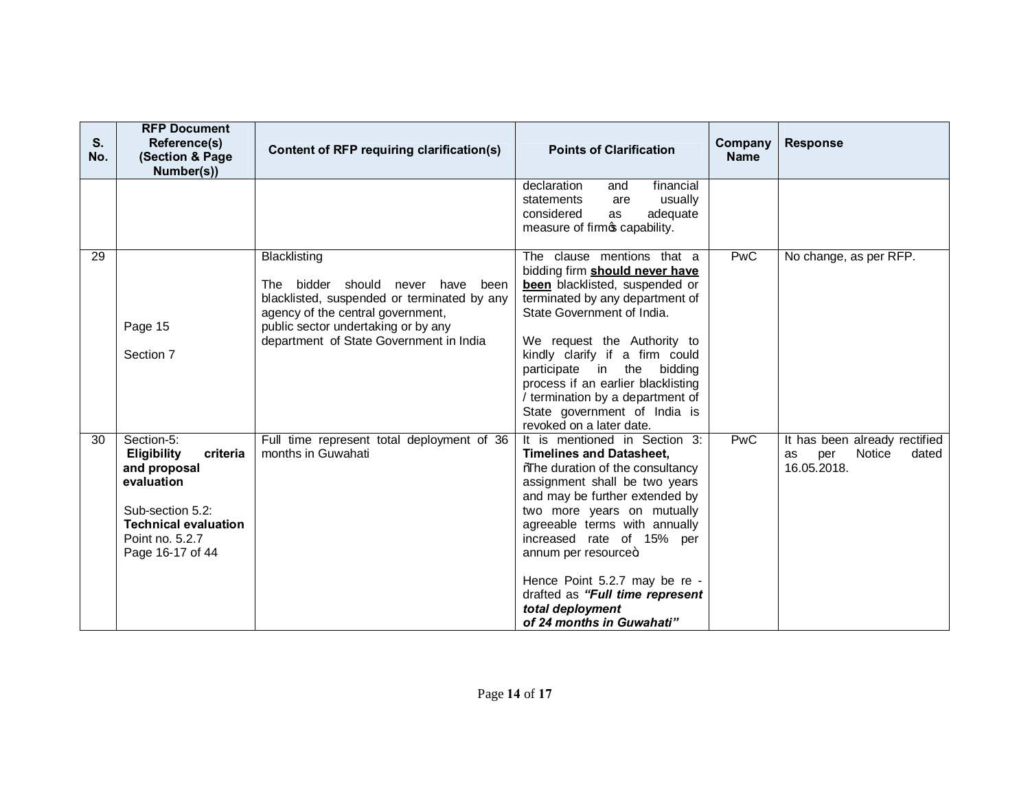| S.<br>No. | <b>RFP Document</b><br>Reference(s)<br>(Section & Page<br>Number(s))                                                                                                 | Content of RFP requiring clarification(s)                                                                                                                                                                                  | <b>Points of Clarification</b>                                                                                                                                                                                                                                                                                                                                                                                        | Company<br><b>Name</b> | <b>Response</b>                                                              |
|-----------|----------------------------------------------------------------------------------------------------------------------------------------------------------------------|----------------------------------------------------------------------------------------------------------------------------------------------------------------------------------------------------------------------------|-----------------------------------------------------------------------------------------------------------------------------------------------------------------------------------------------------------------------------------------------------------------------------------------------------------------------------------------------------------------------------------------------------------------------|------------------------|------------------------------------------------------------------------------|
|           |                                                                                                                                                                      |                                                                                                                                                                                                                            | declaration<br>financial<br>and<br>usually<br>statements<br>are<br>considered<br>adequate<br>as<br>measure of firmos capability.                                                                                                                                                                                                                                                                                      |                        |                                                                              |
| 29        | Page 15<br>Section 7                                                                                                                                                 | Blacklisting<br>bidder should never have been<br>The<br>blacklisted, suspended or terminated by any<br>agency of the central government,<br>public sector undertaking or by any<br>department of State Government in India | The clause mentions that a<br>bidding firm should never have<br>been blacklisted, suspended or<br>terminated by any department of<br>State Government of India.<br>We request the Authority to<br>kindly clarify if a firm could<br>participate in the bidding<br>process if an earlier blacklisting<br>/ termination by a department of<br>State government of India is<br>revoked on a later date.                  | <b>PwC</b>             | No change, as per RFP.                                                       |
| 30        | Section-5:<br><b>Eligibility</b><br>criteria<br>and proposal<br>evaluation<br>Sub-section 5.2:<br><b>Technical evaluation</b><br>Point no. 5.2.7<br>Page 16-17 of 44 | Full time represent total deployment of 36<br>months in Guwahati                                                                                                                                                           | It is mentioned in Section 3:<br><b>Timelines and Datasheet,</b><br><b>Whe duration of the consultancy</b><br>assignment shall be two years<br>and may be further extended by<br>two more years on mutually<br>agreeable terms with annually<br>increased rate of 15% per<br>annum per resource+<br>Hence Point 5.2.7 may be re -<br>drafted as "Full time represent<br>total deployment<br>of 24 months in Guwahati" | <b>PwC</b>             | It has been already rectified<br>Notice<br>dated<br>per<br>as<br>16.05.2018. |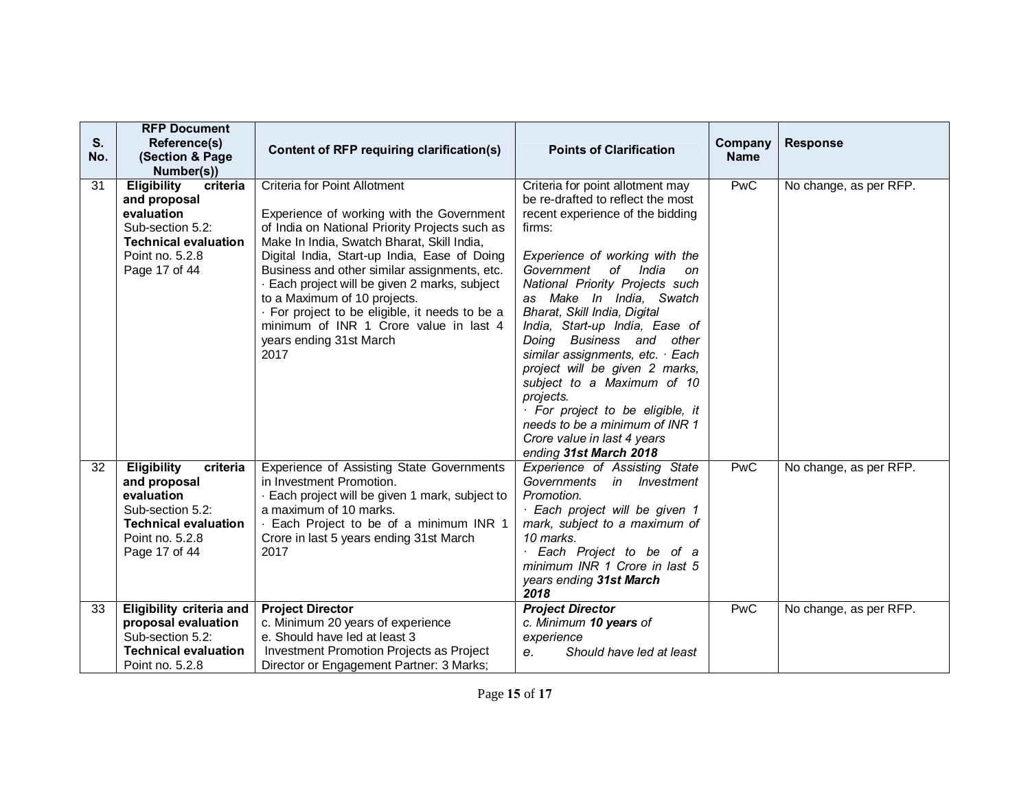| S.<br>No. | <b>RFP Document</b><br>Reference(s)<br>(Section & Page)<br>Number(s))                                                                               | Content of RFP requiring clarification(s)                                                                                                                                                                                                                                                                                                                                                                                                                                                 | <b>Points of Clarification</b>                                                                                                                                                                                                                                                                                                                                                                                                                                                                                                                                                                        | Company<br><b>Name</b> | <b>Response</b>        |
|-----------|-----------------------------------------------------------------------------------------------------------------------------------------------------|-------------------------------------------------------------------------------------------------------------------------------------------------------------------------------------------------------------------------------------------------------------------------------------------------------------------------------------------------------------------------------------------------------------------------------------------------------------------------------------------|-------------------------------------------------------------------------------------------------------------------------------------------------------------------------------------------------------------------------------------------------------------------------------------------------------------------------------------------------------------------------------------------------------------------------------------------------------------------------------------------------------------------------------------------------------------------------------------------------------|------------------------|------------------------|
| 31        | <b>Eligibility</b><br>criteria<br>and proposal<br>evaluation<br>Sub-section 5.2:<br><b>Technical evaluation</b><br>Point no. 5.2.8<br>Page 17 of 44 | Criteria for Point Allotment<br>Experience of working with the Government<br>of India on National Priority Projects such as<br>Make In India, Swatch Bharat, Skill India,<br>Digital India, Start-up India, Ease of Doing<br>Business and other similar assignments, etc.<br>· Each project will be given 2 marks, subject<br>to a Maximum of 10 projects.<br>· For project to be eligible, it needs to be a<br>minimum of INR 1 Crore value in last 4<br>years ending 31st March<br>2017 | Criteria for point allotment may<br>be re-drafted to reflect the most<br>recent experience of the bidding<br>firms:<br>Experience of working with the<br>Government of India<br>on<br>National Priority Projects such<br>as Make In India, Swatch<br>Bharat, Skill India, Digital<br>India, Start-up India, Ease of<br>Doing Business and other<br>similar assignments, etc. $\cdot$ Each<br>project will be given 2 marks,<br>subject to a Maximum of 10<br>projects.<br>· For project to be eligible, it<br>needs to be a minimum of INR 1<br>Crore value in last 4 years<br>ending 31st March 2018 | <b>PwC</b>             | No change, as per RFP. |
| 32        | <b>Eligibility</b><br>criteria<br>and proposal<br>evaluation<br>Sub-section 5.2:<br><b>Technical evaluation</b><br>Point no. 5.2.8<br>Page 17 of 44 | Experience of Assisting State Governments<br>in Investment Promotion.<br>- Each project will be given 1 mark, subject to<br>a maximum of 10 marks.<br>. Each Project to be of a minimum INR 1<br>Crore in last 5 years ending 31st March<br>2017                                                                                                                                                                                                                                          | Experience of Assisting State<br>Governments in Investment<br>Promotion.<br>· Each project will be given 1<br>mark, subject to a maximum of<br>10 marks.<br>Each Project to be of a<br>minimum INR 1 Crore in last 5<br>years ending 31st March<br>2018                                                                                                                                                                                                                                                                                                                                               | <b>PwC</b>             | No change, as per RFP. |
| 33        | <b>Eligibility criteria and</b><br>proposal evaluation<br>Sub-section 5.2:<br><b>Technical evaluation</b><br>Point no. 5.2.8                        | <b>Project Director</b><br>c. Minimum 20 years of experience<br>e. Should have led at least 3<br>Investment Promotion Projects as Project<br>Director or Engagement Partner: 3 Marks;                                                                                                                                                                                                                                                                                                     | <b>Project Director</b><br>c. Minimum 10 years of<br>experience<br>Should have led at least<br>e <sub>1</sub>                                                                                                                                                                                                                                                                                                                                                                                                                                                                                         | <b>PwC</b>             | No change, as per RFP. |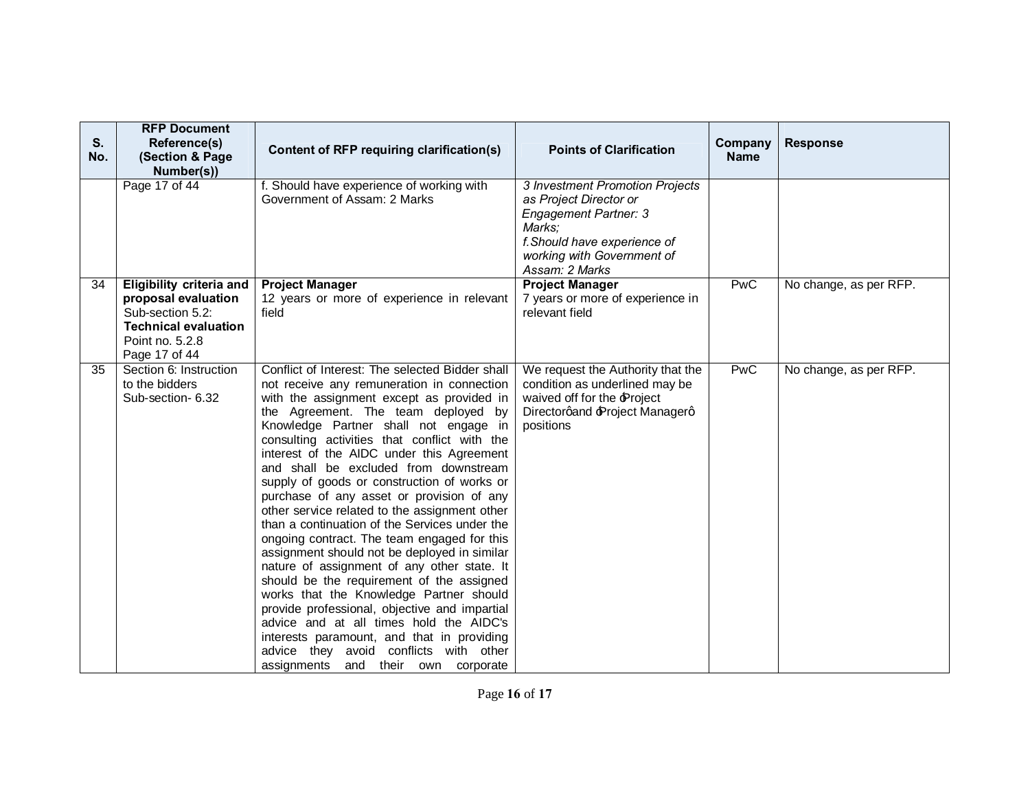| S.<br>No. | <b>RFP Document</b><br>Reference(s)<br>(Section & Page<br>Number(s))                                                                          | Content of RFP requiring clarification(s)                                                                                                                                                                                                                                                                                                                                                                                                                                                                                                                                                                                                                                                                                                                                                                                                                                                                                                                                                                                       | <b>Points of Clarification</b>                                                                                                                                                      | Company<br><b>Name</b> | <b>Response</b>        |
|-----------|-----------------------------------------------------------------------------------------------------------------------------------------------|---------------------------------------------------------------------------------------------------------------------------------------------------------------------------------------------------------------------------------------------------------------------------------------------------------------------------------------------------------------------------------------------------------------------------------------------------------------------------------------------------------------------------------------------------------------------------------------------------------------------------------------------------------------------------------------------------------------------------------------------------------------------------------------------------------------------------------------------------------------------------------------------------------------------------------------------------------------------------------------------------------------------------------|-------------------------------------------------------------------------------------------------------------------------------------------------------------------------------------|------------------------|------------------------|
|           | Page 17 of 44                                                                                                                                 | f. Should have experience of working with<br>Government of Assam: 2 Marks                                                                                                                                                                                                                                                                                                                                                                                                                                                                                                                                                                                                                                                                                                                                                                                                                                                                                                                                                       | 3 Investment Promotion Projects<br>as Project Director or<br><b>Engagement Partner: 3</b><br>Marks:<br>f. Should have experience of<br>working with Government of<br>Assam: 2 Marks |                        |                        |
| 34        | <b>Eligibility criteria and</b><br>proposal evaluation<br>Sub-section 5.2:<br><b>Technical evaluation</b><br>Point no. 5.2.8<br>Page 17 of 44 | <b>Project Manager</b><br>12 years or more of experience in relevant<br>field                                                                                                                                                                                                                                                                                                                                                                                                                                                                                                                                                                                                                                                                                                                                                                                                                                                                                                                                                   | <b>Project Manager</b><br>7 years or more of experience in<br>relevant field                                                                                                        | <b>PwC</b>             | No change, as per RFP. |
| 35        | Section 6: Instruction<br>to the bidders<br>Sub-section- 6.32                                                                                 | Conflict of Interest: The selected Bidder shall<br>not receive any remuneration in connection<br>with the assignment except as provided in<br>the Agreement. The team deployed by<br>Knowledge Partner shall not engage in<br>consulting activities that conflict with the<br>interest of the AIDC under this Agreement<br>and shall be excluded from downstream<br>supply of goods or construction of works or<br>purchase of any asset or provision of any<br>other service related to the assignment other<br>than a continuation of the Services under the<br>ongoing contract. The team engaged for this<br>assignment should not be deployed in similar<br>nature of assignment of any other state. It<br>should be the requirement of the assigned<br>works that the Knowledge Partner should<br>provide professional, objective and impartial<br>advice and at all times hold the AIDC's<br>interests paramount, and that in providing<br>advice they avoid conflicts with other<br>assignments and their own corporate | We request the Authority that the<br>condition as underlined may be<br>waived off for the Project<br>Directorqand Project Managerq<br>positions                                     | <b>PwC</b>             | No change, as per RFP. |